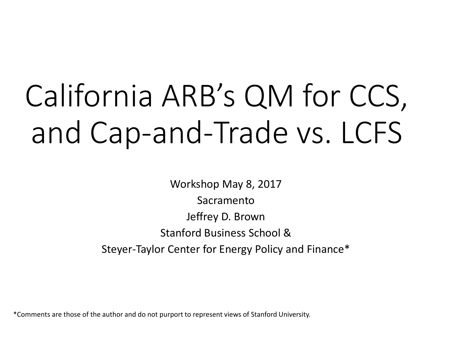# California ARB's QM for CCS, and Cap-and-Trade vs. LCFS

Workshop May 8, 2017 Sacramento Jeffrey D. Brown Stanford Business School & Steyer-Taylor Center for Energy Policy and Finance\*

\*Comments are those of the author and do not purport to represent views of Stanford University.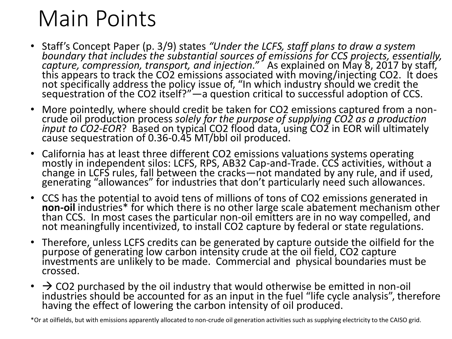#### Main Points

- Staff's Concept Paper (p. 3/9) states *"Under the LCFS, staff plans to draw a system boundary that includes the substantial sources of emissions for CCS projects, essentially, capture, compression, transport, and injection."* As explained on May 8, 2017 by staff,<br>this appears to track the CO2 emissions associated with moving/injecting CO2. It does not specifically address the policy issue of, "In which industry should we credit the sequestration of the CO2 itself?"—a question critical to successful adoption of CCS.
- More pointedly, where should credit be taken for CO2 emissions captured from a noncrude oil production process *solely for the purpose of supplying CO2 as a production input to CO2-EOR*? Based on typićal CO2 flood data, using CO2 in EOR will ultimately<br>cause sequestration of [0.36-0.45](https://0.36-0.45) MT/bbl oil produced.
- California has at least three different CO2 emissions valuations systems operating mostly in independent silos: LCFS, RPS, AB32 Cap-and-Trade. CCS activities, without a change in LCFS rules, fall between the cracks—not mandated by any rule, and if used, generating "allowances" for industries that don't particularly need such allowances.
- • CCS has the potential to avoid tens of millions of tons of CO2 emissions generated in not meaningfully incentivized, to install CO2 capture by federal or state regulations. non-oil industries\* for which there is no other large scale abatement mechanism other<br>than CCS. In most cases the particular non-oil emitters are in no way compelled, and
- purpose of generating low carbon intensity crude at the oil field, CO2 capture • Therefore, unless LCFS credits can be generated by capture outside the oilfield for the investments are unlikely to be made. Commercial and physical boundaries must be crossed.
- $\cdot$   $\rightarrow$  CO2 purchased by the oil industry that would otherwise be emitted in non-oil industries should be accounted for as an input in the fuel "life cycle analysis", therefore having the effect of lowering the carbon intensity of oil produced.

\*Or at oilfields, but with emissions apparently allocated to non-crude oil generation activities such as supplying electricity to the CAISO grid.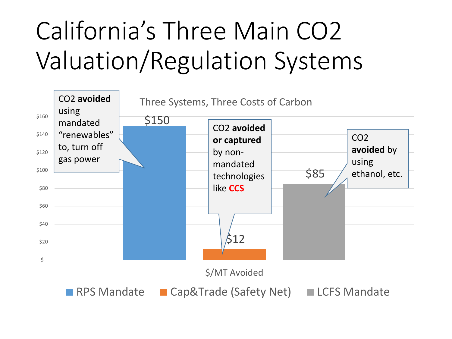## California's Three Main CO2 Valuation/Regulation Systems

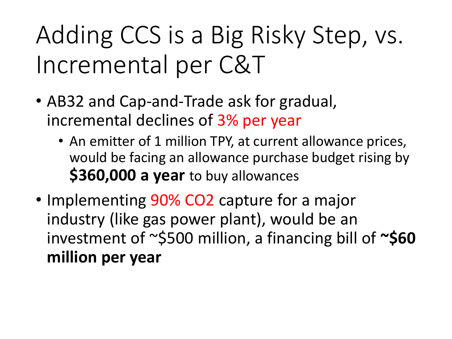#### Adding CCS is a Big Risky Step, vs. Incremental per C&T

- AB32 and Cap-and-Trade ask for gradual, incremental declines of 3% per year
	- An emitter of 1 million TPY, at current allowance prices, would be facing an allowance purchase budget rising by **\$360,000 a year** to buy allowances
- Implementing 90% CO2 capture for a major industry (like gas power plant), would be an investment of ~\$500 million, a financing bill of **~\$60 million per year**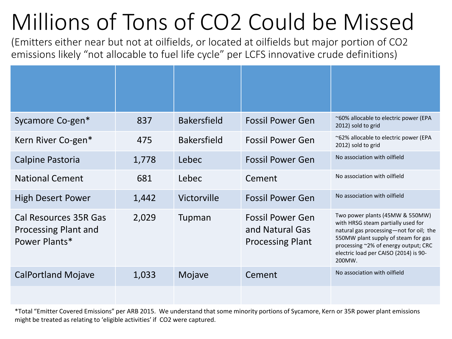#### Millions of Tons of CO2 Could be Missed

(Emitters either near but not at oilfields, or located at oilfields but major portion of CO2 emissions likely "not allocable to fuel life cycle" per LCFS innovative crude definitions)

| Sycamore Co-gen*                                                      | 837   | <b>Bakersfield</b> | <b>Fossil Power Gen</b>                                               | ~60% allocable to electric power (EPA<br>2012) sold to grid                                                                                                                                                                                        |
|-----------------------------------------------------------------------|-------|--------------------|-----------------------------------------------------------------------|----------------------------------------------------------------------------------------------------------------------------------------------------------------------------------------------------------------------------------------------------|
| Kern River Co-gen*                                                    | 475   | <b>Bakersfield</b> | <b>Fossil Power Gen</b>                                               | ~62% allocable to electric power (EPA<br>2012) sold to grid                                                                                                                                                                                        |
| Calpine Pastoria                                                      | 1,778 | Lebec              | <b>Fossil Power Gen</b>                                               | No association with oilfield                                                                                                                                                                                                                       |
| <b>National Cement</b>                                                | 681   | Lebec              | Cement                                                                | No association with oilfield                                                                                                                                                                                                                       |
| <b>High Desert Power</b>                                              | 1,442 | Victorville        | <b>Fossil Power Gen</b>                                               | No association with oilfield                                                                                                                                                                                                                       |
| <b>Cal Resources 35R Gas</b><br>Processing Plant and<br>Power Plants* | 2,029 | Tupman             | <b>Fossil Power Gen</b><br>and Natural Gas<br><b>Processing Plant</b> | Two power plants (45MW & 550MW)<br>with HRSG steam partially used for<br>natural gas processing-not for oil; the<br>550MW plant supply of steam for gas<br>processing ~2% of energy output; CRC<br>electric load per CAISO (2014) is 90-<br>200MW. |
| <b>CalPortland Mojave</b>                                             | 1,033 | Mojave             | Cement                                                                | No association with oilfield                                                                                                                                                                                                                       |
|                                                                       |       |                    |                                                                       |                                                                                                                                                                                                                                                    |

 might be treated as relating to 'eligible activities' if CO2 were captured. \*Total "Emitter Covered Emissions" per ARB 2015. We understand that some minority portions of Sycamore, Kern or 35R power plant emissions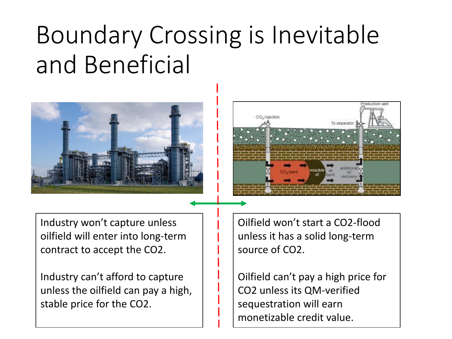#### Boundary Crossing is Inevitable and Beneficial





Industry won't capture unless oilfield will enter into long-term contract to accept the CO2.

Industry can't afford to capture unless the oilfield can pay a high, stable price for the CO2.

Oilfield won't start a CO2-flood unless it has a solid long-term source of CO2.

Oilfield can't pay a high price for CO2 unless its QM-verified sequestration will earn monetizable credit value.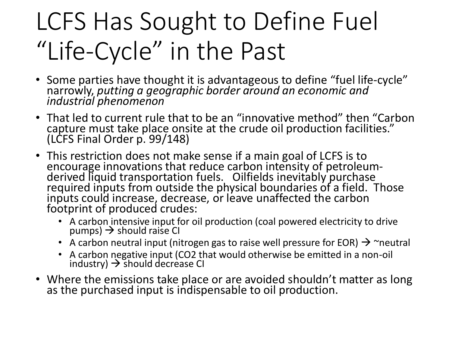### LCFS Has Sought to Define Fuel "Life-Cycle" in the Past

- Some parties have thought it is advantageous to define "fuel life-cycle" narrowly, *putting a geographic border around an economic and industrial phenomenon*
- • That led to current rule that to be an "innovative method" then "Carbon capture must take place onsite at the crude oil production facilities." (LCFS Final Order p. 99/148)
- This restriction does not make sense if a main goal of LCFS is to encourage innovations that reduce carbon intensity of petroleum-<br>derived liquid transportation fuels. Oilfields inevitably purchase required inputs from outside the physical boundaries of a field. Those inputs could increase, decrease, or leave unaffected the carbon footprint of produced crudes:
	- A carbon intensive input for oil production (coal powered electricity to drive  $pumps) \rightarrow should raise Cl$
	- A carbon neutral input (nitrogen gas to raise well pressure for EOR)  $\rightarrow$   $\sim$ neutral
	- • A carbon negative input (CO2 that would otherwise be emitted in a non-oil industry)  $\rightarrow$  should decrease CI
- Where the emissions take place or are avoided shouldn't matter as long as the purchased input is indispensable to oil production.